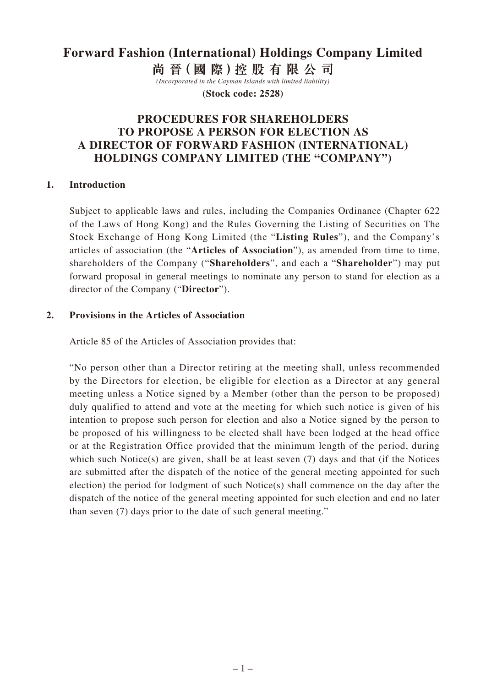# **Forward Fashion (International) Holdings Company Limited**

**尚 晉(國 際)控 股 有 限 公 司**

*(Incorporated in the Cayman Islands with limited liability)* **(Stock code: 2528)**

# **PROCEDURES FOR SHAREHOLDERS TO PROPOSE A PERSON FOR ELECTION AS A DIRECTOR OF FORWARD FASHION (INTERNATIONAL) HOLDINGS COMPANY LIMITED (THE "COMPANY")**

#### **1. Introduction**

Subject to applicable laws and rules, including the Companies Ordinance (Chapter 622 of the Laws of Hong Kong) and the Rules Governing the Listing of Securities on The Stock Exchange of Hong Kong Limited (the "**Listing Rules**"), and the Company's articles of association (the "**Articles of Association**"), as amended from time to time, shareholders of the Company ("**Shareholders**", and each a "**Shareholder**") may put forward proposal in general meetings to nominate any person to stand for election as a director of the Company ("**Director**").

#### **2. Provisions in the Articles of Association**

Article 85 of the Articles of Association provides that:

"No person other than a Director retiring at the meeting shall, unless recommended by the Directors for election, be eligible for election as a Director at any general meeting unless a Notice signed by a Member (other than the person to be proposed) duly qualified to attend and vote at the meeting for which such notice is given of his intention to propose such person for election and also a Notice signed by the person to be proposed of his willingness to be elected shall have been lodged at the head office or at the Registration Office provided that the minimum length of the period, during which such Notice(s) are given, shall be at least seven (7) days and that (if the Notices are submitted after the dispatch of the notice of the general meeting appointed for such election) the period for lodgment of such Notice(s) shall commence on the day after the dispatch of the notice of the general meeting appointed for such election and end no later than seven (7) days prior to the date of such general meeting."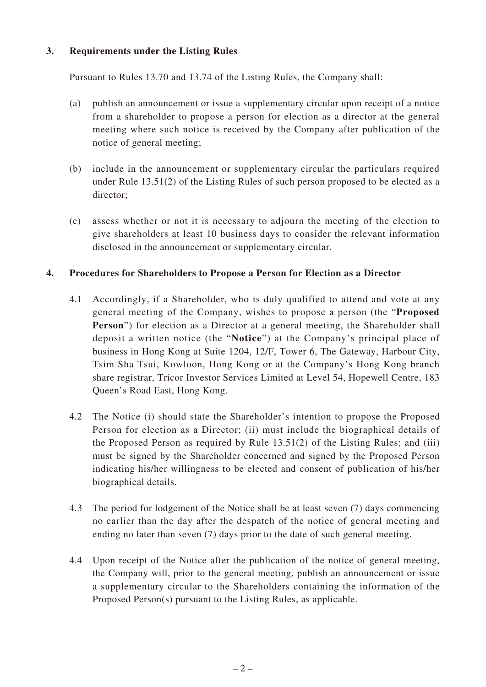## **3. Requirements under the Listing Rules**

Pursuant to Rules 13.70 and 13.74 of the Listing Rules, the Company shall:

- (a) publish an announcement or issue a supplementary circular upon receipt of a notice from a shareholder to propose a person for election as a director at the general meeting where such notice is received by the Company after publication of the notice of general meeting;
- (b) include in the announcement or supplementary circular the particulars required under Rule 13.51(2) of the Listing Rules of such person proposed to be elected as a director;
- (c) assess whether or not it is necessary to adjourn the meeting of the election to give shareholders at least 10 business days to consider the relevant information disclosed in the announcement or supplementary circular.

## **4. Procedures for Shareholders to Propose a Person for Election as a Director**

- 4.1 Accordingly, if a Shareholder, who is duly qualified to attend and vote at any general meeting of the Company, wishes to propose a person (the "**Proposed Person**") for election as a Director at a general meeting, the Shareholder shall deposit a written notice (the "**Notice**") at the Company's principal place of business in Hong Kong at Suite 1204, 12/F, Tower 6, The Gateway, Harbour City, Tsim Sha Tsui, Kowloon, Hong Kong or at the Company's Hong Kong branch share registrar, Tricor Investor Services Limited at Level 54, Hopewell Centre, 183 Queen's Road East, Hong Kong.
- 4.2 The Notice (i) should state the Shareholder's intention to propose the Proposed Person for election as a Director; (ii) must include the biographical details of the Proposed Person as required by Rule  $13.51(2)$  of the Listing Rules; and (iii) must be signed by the Shareholder concerned and signed by the Proposed Person indicating his/her willingness to be elected and consent of publication of his/her biographical details.
- 4.3 The period for lodgement of the Notice shall be at least seven (7) days commencing no earlier than the day after the despatch of the notice of general meeting and ending no later than seven (7) days prior to the date of such general meeting.
- 4.4 Upon receipt of the Notice after the publication of the notice of general meeting, the Company will, prior to the general meeting, publish an announcement or issue a supplementary circular to the Shareholders containing the information of the Proposed Person(s) pursuant to the Listing Rules, as applicable.